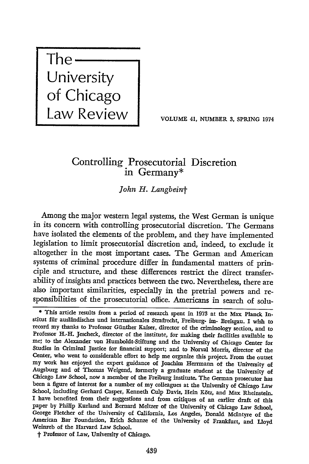The University of Chicago Law Review **VOLUME** 41, **NUMBER 3,** SPRING 1974

# Controlling Prosecutorial Discretion in Germany\*

## *John H. Langbeint*

Among the major western legal systems, the West German is unique in its concern with controlling prosecutorial discretion. The Germans have isolated the elements of the problem, and they have implemented legislation to limit prosecutorial discretion and, indeed, to exclude it altogether in the most important cases. The German and American systems of criminal procedure differ in fundamental matters of principle and structure, and these differences restrict the direct transferability of insights and practices between the two. Nevertheless, there are also important similarities, especially in the pretrial powers and responsibilities of the prosecutorial office. Americans in search of solu-

t Professor of Law, University of Chicago.

This article results from a period of research spent in 1973 at the Max Planck Institut ffir auslfidisches und internationales Strafrecht, Freiburg- im- Breisgau. I wish to record my thanks to Professor Günther Kaiser, director of the criminology section, and to Professor H.-H. Jescheck, director of the institute, for making their facilities available to me; to the Alexander von Humboldt-Stiftung and the University of Chicago Center for Studies in Criminal Justice for financial support; and to Norval Morris, director of the Center, who went to considerable effort to help me organize this project. From the outset my work has enjoyed the expert guidance of Joachim Herrmann of the University of Augsburg and of Thomas Weigend, formerly a graduate student at the University of Chicago Law School, now a member of the Freiburg institute. The German prosecutor has been a figure of interest for a number of my colleagues at the University of Chicago *Law* School, including Gerhard Casper, Kenneth Culp Davis, Hein K6tz, and Max Rheinstein. **I** have benefited from their suggestions and from critiques of an earlier draft of this paper by Philip Kurland and Bernard Meltzer of the University of Chicago *Law* School, George Fletcher of the University of California, Los Angeles, Donald McIntyre of the American Bar Foundation, Erich Schanze of the University of Frankfurt, and Lloyd Weinreb of the Harvard Law School.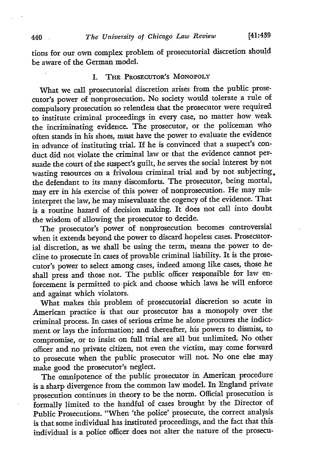*The University of Chicago Law Review*

[41:439

tions for our own complex problem of prosecutorial discretion should be aware of the German model.

#### I. THE PROSECUTOR'S MONOPOLY

What we call prosecutorial discretion arises from the public prosecutor's power of nonprosecution. No society would tolerate a rule of compulsory prosecution so relentless that the prosecutor were required to institute criminal proceedings in every case, no matter how weak the incriminating evidence. The prosecutor, or the policeman who often stands in his shoes, must have the power to evaluate the evidence in advance of instituting trial. If he is convinced that a suspect's conduct did not violate the criminal law or that the evidence cannot persuade the court of the suspect's guilt, he serves the social interest by not wasting resources on a frivolous criminal trial and by not subjecting. the defendant to its many discomforts. The prosecutor, being mortal, may err in his exercise of this power of nonprosecution. He may misinterpret the law, he may misevaluate the cogency of the evidence. That is a routine hazard of decision making. It does not call into doubt the wisdom of allowing the prosecutor to decide.

The prosecutor's power of nonprosecution becomes controversial when it extends beyond the power to discard hopeless cases. Prosecutorial discretion, as we shall be using the term, means the power to decline to prosecute in cases of provable criminal liability. It is the prosecutor's power to select among cases, indeed among like cases, those he shall press and those not. The public officer responsible for law enforcement is permitted to ,pick and choose which laws he will enforce and against which violators.

What makes this problem of prosecutorial discretion so acute in American practice is that our prosecutor has a monopoly over the criminal process. In cases of serious crime he alone procures the indictment or lays the information; and thereafter, his powers to dismiss, to compromise, or to insist on full trial are all but unlimited. No other officer and no private citizen, not even the victim, may come forward to prosecute when the public prosecutor will not. No one else may make good the prosecutor's neglect.

The omnipotence of the public prosecutor in American procedure is a sharp divergence from the common law model. In England private prosecution continues in theory to be the norm. Official prosecution is formally limited to the handful of cases brought by the Director of Public Prosecutions. "When 'the police' prosecute, the correct analysis is that some individual has instituted proceedings, and the fact that this individual is a police officer does not alter the nature of the prosecu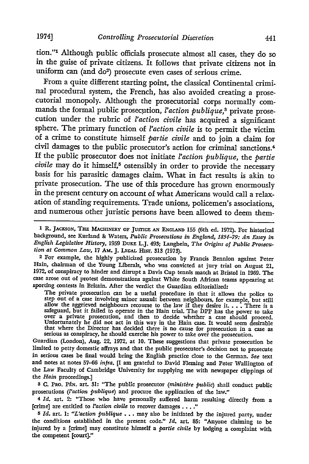tion."' Although public officials prosecute almost all cases, they do so in the guise of private citizens. It follows that private citizens not in uniform can (and do<sup>2</sup>) prosecute even cases of serious crime.

From a quite different starting point, the classical Continental criminal procedural system, the French, has also avoided creating a prosecutorial monopoly. Although the prosecutorial corps normally commands the formal public prosecution, *l'action publique,3* private prosecution under the rubric of *l'action civile* has acquired a significant sphere. The primary function of *l'action civile* is to permit the victim of a crime to constitute himself *partie civile* and to join a claim for civil damages to the public prosecutor's action for criminal sanctions. <sup>4</sup> If the public prosecutor does not initiate *l'action publique,* the *partie civile* may do it himself," ostensibly in order to provide the necessary basis for his parasitic damages claim. What in fact results is akin to private prosecution. The use of this procedure has grown enormously in the present century on account of what Americans would call a relaxation of standing requirements. Trade unions, policemen's associations, and numerous other juristic persons have been allowed to deem them-

*tion at Common Law,* 17 AM. J. *.EAL* **H=Ss. 313 (1973).** 2 For example, the highly publicized prosecution by Francis Bennion against Peter Hain, chairman of the Young Liberals, who was convicted at jury trial on August 21, 1972, of conspiracy to hinder and disrupt a Davis Cup tennis match at Bristol in 1969. The case arose out of protest demonstrations against White South African teams appearing at sporting contests in Britain. After the verdict the Guardian editorialized:

The private prosecution can be a useful procedure in that it allows the police to step out of a case involving minor assault between neighbours, for example, but still allow the aggrieved neighbours recourse to the law if they desire it.... There is a<br>safeguard, but it failed to operate in the Hain trial. The DPP has the power to take<br>safeguard, but it failed to operate in the Hain trial that where the Director has decided there is no cause for prosecution in a case as serious as conspiracy, he should exercise his power to take over the prosecution.

Guardian (London), Aug. 22, 1972, at 10. These suggestions that private prosecution be limited to petty domestic affrays and that the public prosecutor's decision not to prosecute in serious cases be final would bring the English practice close to the German. *See* text and notes at notes 57-66 *infra.* **[I** am grateful to David Fleming and Peter Wallington of the Law Faculty of Cambridge University for supplying me with newspaper clippings of the Hain proceedings.]

**3 C.** PRO. **PLN.** art. 31: "The public prosecutor *(ministgre public)* shall conduct public prosecutions *(l'action publique)* and procure the application of the law."

**<sup>4</sup>***Id.* art. 2: "Those who have personally suffered harm resulting directly from a [crime] are entitled to *l'action civile* to recover damages ......

**<sup>5</sup>***Id.* art. **1:** *"L'action publique* **...** may also be initiated by the injured party, under the conditions established in the present code." *Id. art.* 85: "Anyone claiming to be injured by a [crime] may constitute himself a *partie civile* by lodging a complaint with the competent [court]."

**<sup>1</sup>**R. **JACKSON, THE MACHINERY OF JUSTICE AN ENGLAND 155** (6th **ed.** 1972). For historical background, see Kurland & Waters, *Public Prosecutions in England, 1854-79: An Essay in* English Legislative History, 1959 DUKE L.J. 493; Langbein, *The Origins of Public Prosecution at Common Law*, 17 Am. J. LECAL HIST. 313 (1973).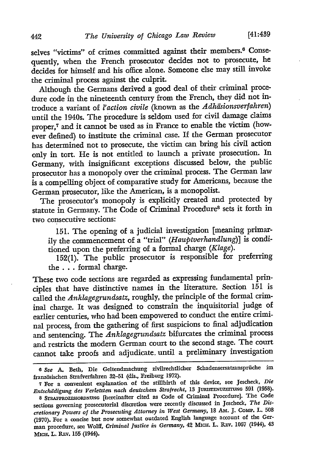selves "victims" of crimes committed against their members.<sup>6</sup> Consequently, when the French prosecutor decides not to prosecute, he decides for himself and his office alone. Someone else may still invoke the criminal process against the culprit.

Although the Germans derived a good deal of their criminal procedure code in the nineteenth century from the French, they did not introduce a variant of *l'action civile* (known as the *Adhisionsverfahren)* until the 1940s. The procedure is seldom used for civil damage claims proper,7 and it cannot be used as in France to enable the victim (however defined) to institute the criminal case. If the German prosecutor has determined not to prosecute, the victim can bring his civil action only in tort. He is not entitled to launch a private prosecution. In Germany, with insignificant exceptions discussed below, the public prosecutor has a monopoly over the criminal process. The German law is a compelling object of comparative study for Americans, because the German prosecutor, like the American, is a monopolist.

The prosecutor's monopoly is explicitly created and protected by statute in Germany. The Code of Criminal Procedure8 sets it forth in two consecutive sections:

151. The opening of a judicial investigation [meaning primarily the commencement of a "trial" *(Hauptverhandlung)]* is conditioned upon the preferring of a formal charge *(Klage).*

152(1). The public prosecutor is responsible for preferring the **...** formal charge.

These two code sections are regarded as expressing fundamental principles that have distinctive names in the literature. Section 151 is called the *Anklagegrundsatz,* roughly, the principle of the formal criminal charge. It was designed to constrain the inquisitorial judge of earlier centuries, who had been empowered to conduct the entire criminal process, from the gathering of first suspicions to final adjudication and sentencing. The *Anklagegrundsatz* bifurcates the criminal process and restricts the modem German court to the second stage. The court cannot take proofs and adjudicate. until a preliminary investigation

**<sup>0</sup>***See* **A.** Beth, Die Geltendmachung zivilrechtlicher Schadensersatzansprriche im franz6sischen Strafverfahren 32-51 (dis., Freiburg 1972).

**<sup>7</sup>**For a convenient explanation of the stillbirth of this device, see Jescheck, *Die* Entschädigung des Verletzten nach deutschem Strafrecht, 13 JURISTENUZEITUNG 591 (1958).

<sup>8</sup> STRAFrROZ5SSORDNUNG [hereinafter cited as Code of Criminal Procedure]. The Code sections governing prosecutorial discretion were recently discussed in Jescheck, *The Discretionary Powers of the Prosecuting Attorney in West Germany,* 18 *Am.* **J.** CoMe. L. 508 (1970). For a concise but now somewhat outdated English language account of the German procedure, see Wolff, *Criminal Justice in Germany*, 42 MICH. L. REV. 1067 (1944), 43 Mcir. L. *REv.* **155** (1944).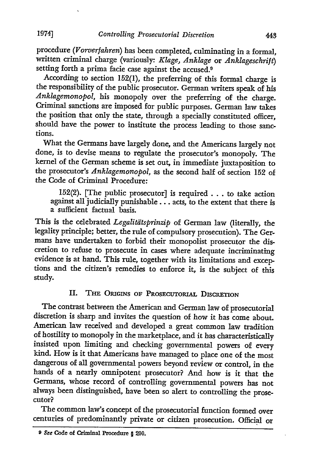procedure *(Vorverfahren)* has been completed, culminating in a formal, written criminal charge (variously: *Klage, Anklage* or *Anklageschrift)* setting forth a prima facie case against the accused.<sup>9</sup>

According to section 152(l), the preferring of this formal charge is the responsibility of the public prosecutor. German writers speak of his *Anklagemonopol,* his monopoly over the preferring of the charge. Criminal sanctions are imposed for public purposes. German law takes the position that only the state, through a specially constituted officer, should have the power to institute the process leading to those sanctions.

What the Germans have largely done, and the Americans largely not done, is to devise means to regulate the prosecutor's monopoly. The kernel of the German scheme is set out, in immediate juxtaposition to the prosecutor's *Anklagemonopol,* as the second half of section **152** of the Code of Criminal Procedure:

152(2). [The public prosecutor] is required **...** to take action against all judicially punishable.., acts, to the extent that there is a sufficient factual basis.

This is the celebrated *Legalitiitsprinzip* of German law (literally, the legality principle; better, the rule of compulsory prosecution). The Germans have undertaken to forbid their monopolist prosecutor the discretion to refuse to prosecute in cases where adequate incriminating evidence is at hand. This rule, together with its limitations and exceptions and the citizen's remedies to enforce it, is the subject of this study.

# **II.** THE ORIGINS OF PROSEcuTORIAL DISCRETION

The contrast between the American and German law of prosecutorial discretion is sharp and invites the question of how it has come about. American law received and developed a great common law tradition of hostility to monopoly in the marketplace, and it has characteristically insisted upon limiting and checking governmental powers of every kind. How is it that Americans have managed to place one of the most dangerous of all governmental powers beyond review or control, in the hands of a nearly omnipotent prosecutor? And how is it that the Germans, whose record of controlling governmental powers has not always been distinguished, have been so alert to controlling the prosecutor?

The common law's concept of the prosecutorial function formed over centuries of predominantly private or citizen prosecution. Official or

**1974]**

**<sup>9</sup>** See **Code of Criminal Procedure** § 200.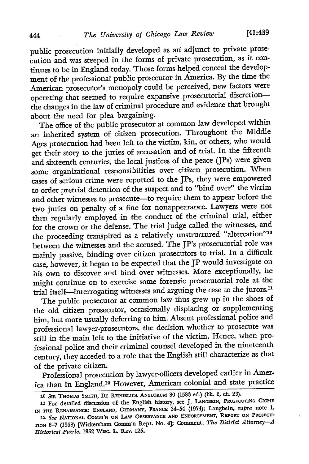public prosecution initially developed as an adjunct to private prosecution and was steeped in the forms of private prosecution, as it continues to be in England today. Those forms helped conceal the development of the professional public prosecutor in America. By the time the American prosecutor's monopoly could be perceived, new factors were operating that seemed to require expansive prosecutorial discretionthe changes in the law of criminal procedure and evidence that brought about the need for plea bargaining.

The office of the public prosecutor at common law developed within an inherited system of citizen prosecution. Throughout the Middle Ages prosecution had been left to the victim, kin, or others, who would get their story to the juries of accusation and of trial. In the fifteenth and sixteenth centuries, the local justices of the peace (JPs) were given some organizational responsibilities over citizen prosecution. When cases of serious crime were reported to the JPs, they were empowered to order pretrial detention of the suspect and to "bind over" the victim and other witnesses to prosecute-to require them to appear before the two juries on penalty of a fine for nonappearance. Lawyers were not then regularly employed in the conduct of the criminal trial, either for the crown or the defense. The trial judge called the witnesses, and the proceeding transpired as a relatively unstructured "altercation"'<sup>10</sup> between the witnesses and the accused. The JP's prosecutorial role was mainly passive, binding over citizen prosecutors to trial. In a difficult case, however, it began to be expected that the JP would investigate on his own to discover and bind over witnesses. More exceptionally, he might continue on to exercise some forensic prosecutorial role at the trial itself-interrogating witnesses and arguing the case to the jurors.<sup>11</sup>

The public prosecutor at common law thus grew up in the shoes of the old citizen prosecutor, occasionally displacing or supplementing him, but more usually deferring to him. Absent professional police and professional lawyer-prosecutors, the decision whether to prosecute was still in the main left to the initiative of the victim. Hence, when professional police and their criminal counsel developed in the nineteenth century, they acceded to a role that the English still characterize as that of the private citizen.

Professional prosecution by lawyer-officers developed earlier in America than in England.<sup>12</sup> However, American colonial and state practice

**<sup>10</sup> Sm** THoMAs SMrrH, **DE REP'UBLICA ANGLORUM 80 (1583 ed.) (bk.** 2, **ch. 23).**

**<sup>11</sup>**For detailed discussion **of** the **English** history, see J. **LANGBEIN, PROSECUTING CrIsE IN THE RENAISSANCE: ENGLAND, GERMANY, FRANCE** 34-54 **(1974);** Langbein, *supra* note **1.**

**<sup>12</sup>** *See* **NATIONAL COMM'N ON LAW OBSERVANCE AND ENFORCEMENT, REPORT ON PROSECU-TION 6-7 (1968)** [Wickersham **Comm'n Rept. No.** 4]; **Comment,** *The District Attorney-A Historical Puzzle,* **1952** Wisc. L. **REv. 125.**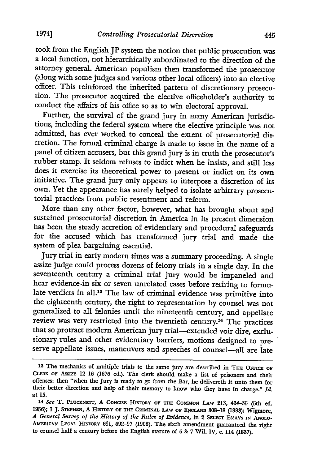took from the English JP system the notion that public prosecution was a local function, not hierarchically subordinated to the direction of the attorney general. American populism then transformed the prosecutor (along with some judges and various other local officers) into an elective officer. This reinforced the inherited pattern of discretionary prosecution. The prosecutor acquired the elective officeholder's authority to conduct the affairs of his office so as to win electoral approval.

Further, the survival of the grand jury in many American jurisdictions, including the federal system where the elective principle was not admitted, has ever worked to conceal the extent of prosecutorial discretion. The formal criminal charge is made to issue in the name of a panel of citizen accusers, but this grand jury is in truth the prosecutor's rubber stamp. It seldom refuses to indict when he insists, and still less does it exercise its theoretical power to present or indict on its own initiative. The grand jury only appears to interpose a discretion of its own. Yet the appearance has surely helped to isolate arbitrary prosecutorial practices from public resentment and reform.

More than any other factor, however, what has brought about and sustained prosecutorial discretion in America in its present dimension has been the steady accretion of evidentiary and procedural safeguards for the accused which has transformed jury trial and made the system of plea bargaining essential.

Jury trial in early modern times was a summary proceeding. A single assize judge could process dozens of felony trials in a single day. In the seventeenth century a criminal trial jury would be impaneled and hear evidence.in six or seven unrelated cases before retiring to formulate verdicts in all.<sup>13</sup> The law of criminal evidence was primitive into the eighteenth century, the right to representation by counsel was not generalized to all felonies until the nineteenth century, and appellate review was very restricted into the twentieth century.14 The practices that so protract modern American jury trial-extended voir dire, exclusionary rules and other evidentiary barriers, motions designed to preserve appellate issues, maneuvers and speeches of counsel-all are late

**<sup>13</sup>**The mechanics of multiple trials to the same jury are described in THE **OFFICE OF CLERK** OF **AssIZE 12-16 (1676** ed.). The clerk should make a list of prisoners and their offenses; then "when the Jury is ready to go from the Bar, he delivereth it unto them for their better direction and help of their memory to know who they have in charge." *Id.* at **15.**

<sup>14</sup>*See* T. **PLUCKNErTT,** A **CONCiSE HISTORY OF THE COMMON LAW** 213, 434-35 (5th **ed.** 1956); 1 J. STEPHEN, A HISTORY OF THE CRIMINAL LAW OF ENGLAND 308-18 (1883); Wigmore, *A General Survey of the History of the Rules of Evidence,* in 2 **SELacr EssAys IN ANGLO-AMERIcAN LEGAL HISTORY** 691, 692-97 (1908). The sixth amendment guaranteed the right to counsel half a century before the English statute of 6 & 7 Wil. IV, c. 114 (1837).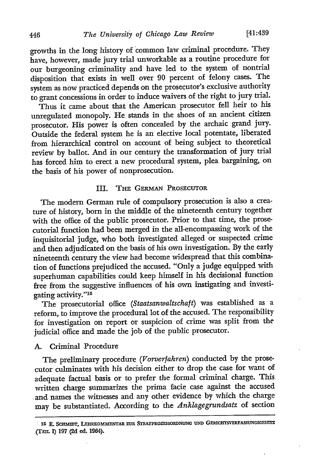growths in the long history of common law criminal procedure. They have, however, made jury trial unworkable as a routine procedure for our burgeoning criminality and have led to the system of nontrial disposition that exists in well over 90 percent of felony cases. The system as now practiced depends on the prosecutor's exclusive authority to grant concessions in order to induce waivers of the right to jury trial.

Thus it came about that the American prosecutor fell heir to his unregulated monopoly. He stands in the shoes of an ancient citizen prosecutor. His power is often concealed by the archaic grand jury. Outside the federal system he is an elective local potentate, liberated from hierarchical control on account of being subject to theoretical review by ballot. And in our century the transformation of jury trial has forced him to erect a new procedural system, plea bargaining, on the basis of his power of nonprosecution.

#### III. THE **GERMAN PROSECUTOR**

The modern German rule of compulsory prosecution is also a creature of history, born in the middle of the nineteenth century together with the office of the public prosecutor. Prior to that time, the prosecutorial function had been merged in the all-encompassing work of the inquisitorial judge, who both investigated alleged or suspected crime and then adjudicated on the basis of his own investigation. By the early nineteenth century the view had become widespread that this combination of functions prejudiced the accused. "Only a judge equipped with superhuman capabilities could keep himself in his decisional function free from the suggestive influences of his own instigating and investigating activity."<sup>15</sup>

The prosecutorial office *(Staatsanwaltschaft)* was established as a reform, to improve the procedural lot of the accused. The responsibility for investigation on report or suspicion of crime was split from the judicial office and made the job of the public prosecutor.

A. Criminal Procedure

The preliminary procedure *(Vorverfahren)* conducted by the prosecutor culminates with his decision either to drop the case for want of adequate factual basis or to prefer the formal criminal charge. This written charge summarizes the prima facie case against the accused and names the witnesses and any other evidence by which the charge may be substantiated. According to the *Anklagegrundsatz* of section

**<sup>15</sup> E. SCHmiDT, LEHRKO MmENTAR ZUR STRAFPROZESSORDNUNG uND GERICHTsVERFASSUNGSGESTIZ (TEL I) 197 (2d ed. 1964).**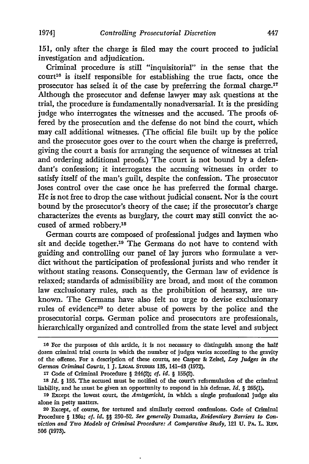151, only after the charge is filed may the court proceed to judicial investigation and adjudication.

Criminal procedure is still "inquisitorial" in the sense that the court<sup>16</sup> is itself responsible for establishing the true facts, once the prosecutor has seised it of the case by preferring the formal charge.<sup>17</sup> Although the prosecutor and defense lawyer may ask questions at the trial, the procedure is fundamentally nonadversarial. It is the presiding judge who interrogates the witnesses and the accused. The proofs offered by the prosecution and the defense do not bind the court, which may call additional witnesses. (The official file built up by the police and the prosecutor goes over to the court when the charge is preferred, giving the court a basis for arranging the sequence of witnesses at trial and ordering additional proofs.) The court is not bound by a defendant's confession; it interrogates the accusing witnesses in order to satisfy itself of the man's guilt, despite the confession. The prosecutor loses control over the case once he has preferred the formal charge. He is not free to drop the case without judicial consent. Nor is the court bound by the prosecutor's theory of the case; if the prosecutor's charge characterizes the events as burglary, the court may still convict the accused of armed robbery.'<sup>8</sup>

German courts are composed of professional judges and laymen who sit and decide together.<sup>19</sup> The Germans do not have to contend with guiding and controlling our panel of lay jurors who formulate a verdict without the participation of professional jurists and who render it without stating reasons. Consequently, the German law of evidence is relaxed; standards of admissibility are broad, and most of the common law exclusionary rules, such as the prohibition of hearsay, are unknown. The Germans have also felt no urge to devise exclusionary rules of evidence20 to deter abuse of powers by the police and the prosecutorial corps. German police and prosecutors are professionals, hierarchically organized and controlled from the state level and subject

 $\epsilon$ 

**<sup>16</sup>** For the purposes of this article, it is not necessary to distinguish among the half dozen criminal trial courts in which the number of judges varies according to the gravity of the offense. For a description of these courts, see Casper **&** Zeisel, *Lay Judges in the German Criminal Courts,* 1 **J. LEGAL** Sumrs 135, 141-43 **(1972).**

**<sup>17</sup>** Code of Criminal Procedure § 244(2); *ef. id. §* 155(2).

**<sup>18</sup>***Id. §* 155. The accused must be notified of the court's reformulation of the criminal liability, and he must be given an opportunity to respond in his defense. *Id. §* 265(1).

**<sup>19</sup>** Except the lowest court, the *Amtsgericht,* in which a single professional judge sits alone in petty matters.

**<sup>20</sup>** Except, of course, for tortured and similarly coerced confessions. Code of Criminal Procedure *§* 136a; *cf. id. §§* 250-52. *See generally* Damaska, *Evidentiary Barriers to Con. viction and Two Models of Criminal Procedure: A Comparative Study,* 121 **U. PA.** L. REV. **506** (1973).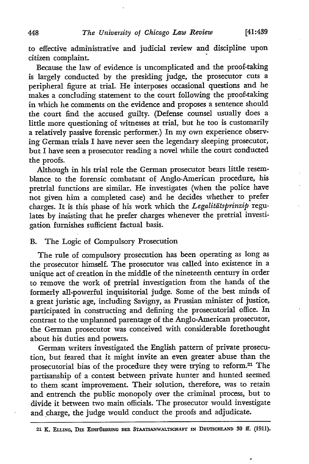to effective administrative and judicial review and discipline upon citizen complaint.

Because the law of evidence is uncomplicated and the proof-taking is largely conducted by the presiding judge, the prosecutor cuts a peripheral figure at trial. He interposes occasional questions and he makes a concluding statement to the court following the proof-taking in which he comments on the evidence and proposes a sentence should the court find the accused guilty. (Defense counsel usually does a little more questioning of witnesses at trial, but he too is customarily a relatively passive forensic performer.) In my own experience observing German trials I have never seen the legendary sleeping prosecutor, but I have seen a prosecutor reading a novel while the court conducted the proofs.

Although in his trial role the German prosecutor bears little resemblance to the forensic combatant of Anglo-American procedure, his pretrial functions are similar. He investigates (when the police have not given him a completed case) and he decides whether to prefer charges. It is this phase of his work which the *Legalitiitsprinzip* regulates by insisting that he prefer charges whenever the pretrial investigation furnishes sufficient factual basis.

## B. The Logic of Compulsory Prosecution

The rule of compulsory prosecution has been operating as long as the prosecutor himself. The prosecutor was called into existence in a unique act of creation in the middle of the nineteenth century in order to remove the work of pretrial investigation from the hands of the formerly all-powerful inquisitorial judge. Some of the best minds of a great juristic age, including Savigny, as Prussian minister of justice, participated in constructing and defining the prosecutorial office. In contrast to the unplanned parentage of the Anglo-American prosecutor, the German prosecutor was conceived with considerable forethought about his duties and powers.

German writers investigated the English pattern of private prosecution, but feared that it might invite an even greater abuse than the prosecutorial bias of the procedure they were trying to reform.21 The partisanship of a contest between private hunter and hunted seemed to them scant improvement. Their solution, therefore, was to retain and entrench the public monopoly over the criminal process, but to divide it between two main officials. The prosecutor would investigate and charge, the judge would conduct the proofs and adjudicate.

448

**<sup>21</sup> K. ELLiNG,** DiE **EiNFOHRUNG DER STANTSANWALTSCHAFr xN DEUTSCHLAND 30 ff. (1911).**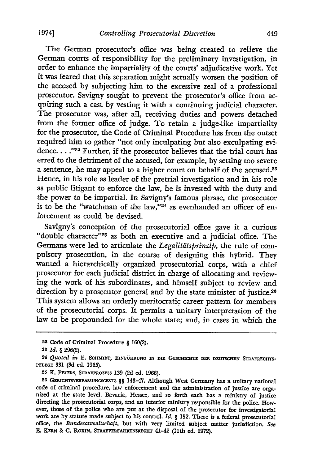The German prosecutor's office was being created to relieve the German courts of responsibility for the preliminary investigation, in order to enhance the impartiality of the courts' adjudicative work. Yet it was feared that this separation might actually worsen the position of the accused by subjecting him to the excessive zeal of a professional prosecutor. Savigny sought to prevent the prosecutor's office from acquiring such a cast by vesting it with a continuing judicial character. The prosecutor was, after all, receiving duties and powers detached from the former office of judge. To retain a judge-like impartiality for the prosecutor, the Code of Criminal Procedure has from the outset required him to gather "not only inculpating but also exculpating evidence. . . .<sup>122</sup> Further, if the prosecutor believes that the trial court has erred to the detriment of the accused, for example, by setting too severe a sentence, he may appeal to a higher court on behalf of the accused.23 Hence, in his role as leader of the pretrial investigation and in his role as public litigant to enforce the law, he is invested with the duty and the power to be impartial. In Savigny's famous phrase, the prosecutor is to be the "watchman of the law,"<sup>24</sup> as evenhanded an officer of enforcement as could be devised.

Savigny's conception of the prosecutorial office gave it a curious "double character"<sup>25</sup> as both an executive and a judicial office. The Germans were led to articulate the *Legalitiitsprinzip,* the rule of compulsory prosecution, in the course of designing this hybrid. They wanted a hierarchically organized prosecutorial corps, with a chief prosecutor for each judicial district in charge of allocating and reviewing the work of his subordinates, and himself subject to review and direction by a prosecutor general and by the state minister of justice.<sup>26</sup> This system allows an orderly meritocratic career pattern for members of the prosecutorial corps. It permits a unitary interpretation of the law to be propounded for the whole state; and, in cases in which the

**<sup>22</sup>** Code of Criminal Procedure § **160(2).**

**<sup>23</sup>** *Id.* § **296(2).**

<sup>&</sup>lt;sup>24</sup> Quoted in E. SCHMIDT, EINFÜHRUNG IN DIE GESCHICHTE DER DEUTSCHEN STRAFRECHTS-**,rFLEE 331 (3d** ed. **1965).**

**<sup>25</sup>** K. PomEts, **STRAFPRozEss 139** (2d ed. **1966).**

<sup>26</sup> GERICHTSVERFASSUNGSGESTZ §§ 143-47. Although West Germany has a unitary national code of criminal procedure, law enforcement and the administration of justice are organized at the state level. Bavaria, Hessee, and so forth each has a ministry of justice directing the prosecutorial corps, and an interior ministry responsible for the police. However, those of the police who are put at the disposal of the prosecutor for investigatorial work are **by** statute made subject to his control. *Id. §* **152.** There is a federal prosecutorial office, the *Bundesanwaltschaft,* but with very limited subject matter jurisdiction. *See* E. KERN & C. ROXIN, STRAFVERFAHRENSRECHT 41-42 (11th ed. 1972).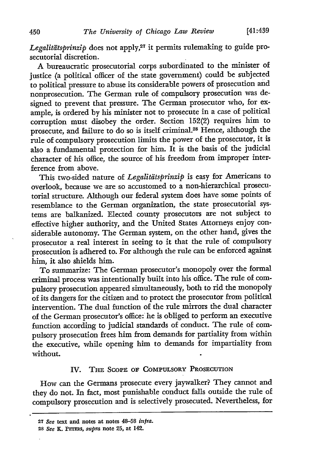Legalitätsprinzip does not apply,<sup>27</sup> it permits rulemaking to guide pro-

[41:439

secutorial discretion. A bureaucratic prosecutorial corps subordinated to the minister of justice (a political officer of the state government) could be subjected to political pressure to abuse its considerable powers of prosecution and nonprosecution. The German rule of compulsory prosecution was designed to prevent that pressure. The German prosecutor who, for example, is ordered by his minister not to prosecute in a case of political corruption must disobey the order. Section 152(2) requires him to prosecute, and failure to do so is itself criminal.28 Hence, although the rule of compulsory prosecution limits the power of the prosecutor, it is also a fundamental protection for him. It is the basis of the judicial character of his office, the source of his freedom from improper interference from above.

This two-sided nature of *Legalitiitsprinzip* is easy for Americans to overlook, because we are so accustomed to a non-hierarchical prosecutorial structure. Although our federal system does have some points of resemblance to the German organization, the state prosecutorial systems are balkanized. Elected county prosecutors are not subject to effective higher authority, and the United States Attorneys enjoy considerable autonomy. The German system, on the other hand, gives the prosecutor a real interest in seeing to it that the rule of compulsory prosecution is adhered to. For although the rule can be enforced against him, it also shields him.

To summarize: The German prosecutor's monopoly over the formal criminal process was intentionally built into his office. The rule of compulsory prosecution appeared simultaneously, both to rid the monopoly of its dangers for the citizen and to protect the prosecutor from political intervention. The dual function of the rule mirrors the dual character of the German prosecutor's office: he is obliged to perform an executive function according to judicial standards of conduct. The rule of compulsory prosecution frees him from demands for partiality from within the executive, while opening him to demands for impartiality from without.

#### IV. THE SCOPE OF COMPULSORY PROSECUTION

How can the Germans prosecute every jaywalker? They cannot and they do not. In fact, most punishable conduct falls outside the rule of compulsory prosecution and is selectively prosecuted. Nevertheless, for

**<sup>27</sup>** *See* text and notes at notes **48-58** *infra.*

**<sup>28</sup>** *See* K. PEraS, *supra* note *25,* at 142.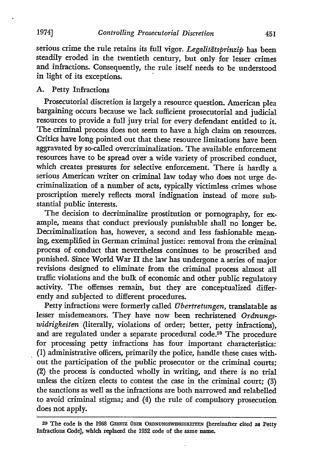serious crime the rule retains its full vigor. *Legalitiitsprinzip* has been steadily eroded in the twentieth century, but only for lesser crimes and infractions. Consequently, the rule itself needs to be understood in light of its exceptions.

#### A. Petty Infractions

Prosecutorial discretion is largely a resource question. American plea bargaining occurs because we lack sufficient prosecutorial and judicial resources to provide a full jury trial for every defendant entitled to it. The criminal process does not seem to have a high claim on resources. Critics have long pointed out that these resource limitations have been aggravated by so-called overcriminalization. The available enforcement resources have to be spread over a wide variety of proscribed conduct, which creates pressures for selective enforcement. There is hardly a serious American writer on criminal law today who does not urge decriminalization of a number of acts, typically victimless crimes whose proscription merely reflects moral indignation instead of more substantial public interests.

The decision to decriminalize prostitution or pornography, for example, means that conduct previously punishable shall no longer be. Decriminalization has, however, a second and less fashionable meaning, exemplified in German criminal justice: removal from the criminal process of conduct that nevertheless continues to be proscribed and punished. Since World War II the law has undergone a series of major revisions designed to eliminate from the criminal process almost all traffic violations and the bulk of economic and other public regulatory activity. The offenses remain, but they are conceptualized differently and subjected to different procedures.

Petty infractions were formerly called *Ubertretungen,* translatable as lesser misdemeanors. They have now been rechristened *Ordnungswidrigkeiten* (literally, violations of order; better, petty infractions), and are regulated under a separate procedural code.<sup>29</sup> The procedure for processing petty infractions has four important characteristics: (1) administrative officers, primarily the police, handle these cases without the participation of the public prosecutor or the criminal courts; (2) the process is conducted wholly in writing, and there is no trial unless the citizen elects to contest the case in the criminal court; (3) the sanctions as well as the infractions are both narrowed and relabelled to avoid criminal stigma; and (4) the rule of compulsory prosecution does not apply.

<sup>29</sup> The code is the 1968 GESETZ UBER ORDNUNGSWIDRIGKETTEN [hereinafter cited as Petty Infractions Code], which replaced the **1952** code of the same name.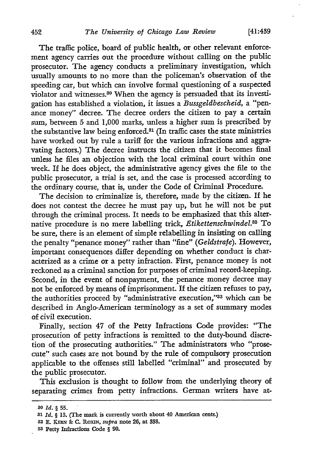The traffic police, board of public health, or other relevant enforcement agency carries out the procedure without calling on the public prosecutor. The agency conducts a preliminary investigation, which usually amounts to no more than the policeman's observation of the speeding car, but which can involve formal questioning of a suspected violator and witnesses.30 When the agency is persuaded that its investigation has established a violation, it issues a *Bussgeldbescheid,* a "penance money" decree. The decree orders the citizen to pay a certain sum, between 5 and 1,000 marks, unless a higher sum is prescribed by the substantive law being enforced.31 (In traffic cases the state ministries have worked out by rule a tariff for the various infractions and aggravating factors.) The decree instructs the citizen that it becomes final unless he files an objection with the local criminal court within one week. If he does object, the administrative agency gives the file to the public prosecutor, a trial is set, and the case is processed according to

the ordinary course, that is, under the Code of Criminal Procedure. The decision to criminalize is, therefore, made by the citizen. If he does not contest the decree he must pay up, but he will not be put through the criminal process. It needs to be emphasized that this alternative procedure is no mere labelling trick, *Etikettenschwindel.2* To be sure, there is an element of simple relabelling in insisting on calling the penalty "penance money" rather than "fine" *(Geldstrafe).* However, important consequences differ depending on whether conduct is characterized as a crime or a petty infraction. First, penance money is not reckoned as a criminal sanction for purposes of criminal record-keeping. Second, in the event of nonpayment, the penance money decree may not be enforced by means of imprisonment. If the citizen refuses to pay, the authorities proceed by "administrative execution,"33 which can be described in Anglo-American terminology as a set of summary modes of civil execution.

Finally, section 47 of the Petty Infractions Code provides: "The prosecution of petty infractions is remitted to the duty-bound discretion of the prosecuting authorities." The administrators who "prosecute" such cases are not bound by the rule of compulsory prosecution applicable to the offenses still labelled "criminal" and prosecuted by the public prosecutor.

This exclusion is thought to follow from the underlying theory of separating crimes from petty infractions. German writers have at-

**<sup>30</sup>** *Id. §* **55.**

*<sup>31</sup> Id. §* **13.** (The mark is currently worth about 40 American cents.)

**<sup>32</sup> E.** KERN & **C.** Roxxv, *supra* note *26,* at **338.**

**<sup>83</sup>**Petty Infractions Code *§* **90.**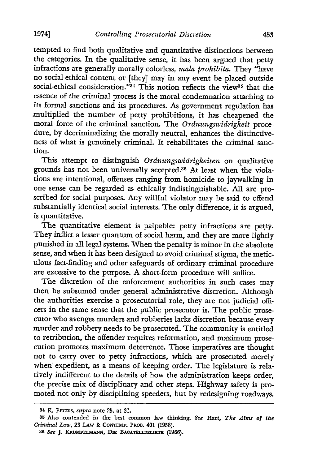tempted to find both qualitative and quantitative distinctions between the categories. In the qualitative sense, it has been argued that petty infractions are generally morally colorless, *mala prohibita.* They "have no social-ethical content or [they] may in any event be placed outside social-ethical consideration."<sup>34</sup> This notion reflects the view<sup>35</sup> that the essence of the criminal process is the moral condemnation attaching to its formal sanctions and its procedures. As government regulation has multiplied the number of petty prohibitions, it has cheapened the moral force of the criminal sanction. The *Ordnungswidrigkeit* procedure, by decriminalizing the morally neutral, enhances the distinctiveness of what is genuinely criminal. It rehabilitates the criminal sanction.

This attempt to distinguish *Ordnungswidrigkeiten* on qualitative grounds has not been universally accepted. 36 At least when the violations are intentional, offenses ranging from homicide to jaywalking in one sense can be regarded as ethically indistinguishable. **All** are proscribed for social purposes. **Any** willful violator may be said to offend substantially identical social interests. The only difference, it is argued, is quantitative.

The quantitative element is palpable: petty infractions are petty. They inflict a lesser quantum of social harm, and they are more lightly punished in all legal systems. When the penalty is minor in the absolute sense, and when it has been designed to avoid criminal stigma, the meticulous fact-finding and other safeguards of ordinary criminal procedure are excessive to the purpose. **A** short-form procedure will suffice.

The discretion of the enforcement authorities in such cases may then be subsumed under general administrative discretion. Although the authorities exercise a prosecutorial role, they are not judicial officers in the same sense that the public prosecutor is. The public prosecutor who avenges murders and robberies lacks discretion because every murder and robbery needs to be prosecuted. The community is entitled to retribution, the offender requires reformation, and maximum prosecution promotes maximum deterrence. Those imperatives are thought not to carry over to petty infractions, which are prosecuted merely when expedient, as a means of keeping order. The legislature is relatively indifferent to the details of how the administration keeps order, the precise mix of disciplinary and other steps. Highway safety is promoted not only by disciplining speeders, but by redesigning roadways.

1974]

**<sup>34</sup>**K. PLrTrs, *supra* note **25,** at **31.**

**<sup>85</sup>**Also contended in the best common law thinking. *See* **Hart,** *The Aims of the Criminal Law,* **23** LAw **& CONTEMP. PROB.** 401 (1958).

<sup>86</sup> See J. KRÜMPELMANN, DIE BAGATELLDELIKTE (1966).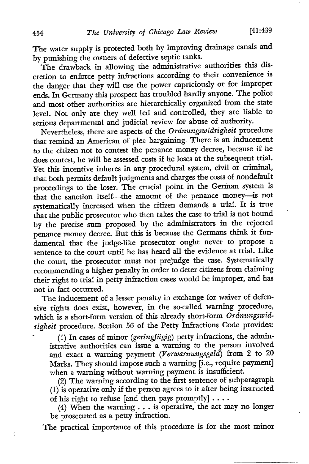The water supply is protected both by improving drainage canals and by punishing the owners of defective septic tanks.

The drawback in allowing the administrative authorities this discretion to enforce petty infractions according to their convenience is the danger that they will use the power capriciously or for improper ends. In Germany this prospect has troubled hardly anyone. The police and most other authorities are hierarchically organized from the state level. Not only are they well led and controlled, they are liable to serious departmental and judicial review for abuse of authority.

Nevertheless, there are aspects of the *Ordnungswidrigkeit* procedure that remind an American of plea bargaining. There is an inducement to the citizen not to contest the penance money decree, because if he does contest, he will be assessed costs if he loses at the subsequent trial. Yet this incentive inheres in any procedural system, civil or criminal, that both permits default judgments and charges the costs of nondefault proceedings to the loser. The crucial point in the German system is that the sanction itself-the amount of the penance money-is not systematically increased when the citizen demands a trial. It is true that the public prosecutor who then takes the case to trial is not bound by the precise sum proposed by the administrators in the rejected penance money decree. But this is because the Germans think it fundamental that the judge-like prosecutor ought never to propose a sentence to the court until he has heard all the evidence at trial. Like the court, the prosecutor must not prejudge the case. Systematically recommending a higher penalty in order to deter citizens from claiming their right to trial in petty infraction cases would be improper, and has not in fact occurred.

The inducement of a lesser penalty in exchange for waiver of defensive rights does exist, however, in the so-called warning procedure, which is a short-form version of this already short-form *Ordnungswidrigkeit* procedure. Section 56 of the Petty Infractions Code provides:

**(1)** In cases of minor *(geringfilgig)* petty infractions, the administrative authorities can issue a warning to the person involved and exact a warning payment *(Verwarnungsgeld)* from 2 to 20 Marks. They should impose such a warning [i.e., require payment] when a warning without warning payment is insufficient.

(2) The warning according to the first sentence of subparagraph **(1)** is operative only if the person agrees to it after being instructed of his right to refuse [and then pays promptly] ....

(4) When the warning... is operative, the act may no longer be prosecuted as a petty infraction.

The practical importance of this procedure is for the most minor

 $\{$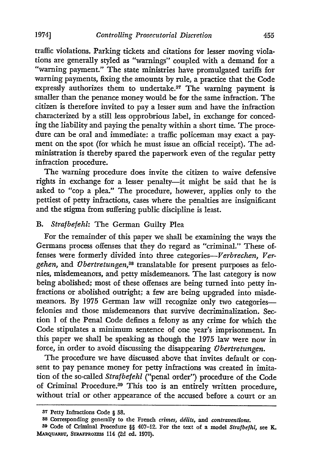traffic violations. Parking tickets and citations for lesser moving violations are generally styled as "warnings" coupled with a demand for a "warning payment." The state ministries have promulgated tariffs for warning payments, fixing the amounts by rule, a practice that the Code expressly authorizes them to undertake.<sup>37</sup> The warning payment is smaller than the penance money would be for the same infraction. The citizen is therefore invited to pay a lesser sum and have the infraction characterized by a still less opprobrious label, in exchange for conceding the liability and paying the penalty within a short time. The procedure can be oral and immediate: a traffic policeman may exact a payment on the spot (for which he must issue an official receipt). The administration is thereby spared the paperwork even of the regular petty infraction procedure.

The warning procedure does invite the citizen to waive defensive rights in exchange for a lesser penalty-it might be said that he is asked to "cop a plea." The procedure, however, applies only to the pettiest of petty infractions, cases where the penalties are insignificant and the stigma from suffering public discipline is least.

## *B. Strafbefehl:* The German Guilty Plea

For the remainder of this paper we shall be examining the ways the Germans process offenses that they do regard as "criminal." These offenses were formerly divided into three categories-Verbrechen, *Vergehen, and Ubertretungen,3* translatable for present purposes as felonies, misdemeanors, and petty misdemeanors. The last category is now being abolished; most of these offenses are being turned into petty infractions or abolished outright; a few are being upgraded into misdemeanors. By 1975 German law will recognize only two categoriesfelonies and those misdemeanors that survive decriminalization. Section 1 of the Penal Code defines a felony as any crime for which the Code stipulates a minimum sentence of one year's imprisonment. In this paper we shall be speaking as though the 1975 law were now in force, in order to avoid discussing the disappearing *Ubertretungen.*

The procedure we have discussed above that invites default or consent to pay penance money for petty infractions was created in imitation of the so-called *Strafbefehl* ("penal order") procedure of the Code of Criminal Procedure.<sup>39</sup> This too is an entirely written procedure, without trial or other appearance of the accused before a court or an

1974]

**<sup>87</sup>** Petty Infractions Code § **58.**

**<sup>88</sup>**Corresponding generally to the French *crimes, ddlits, and contraventions.*

**<sup>89</sup>** Code of Criminal Procedure §§ 407-12. For the text of a model *Strafbeflhl,* see K. MARQUARDT, STRAFPROZESS 114 (2d ed. 1970).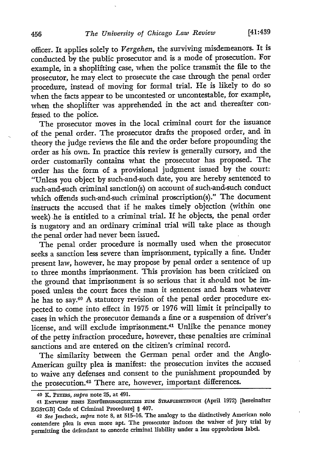[41:439

officer. It applies solely to *Vergehen,* the surviving misdemeanors. It is conducted by the public prosecutor and is a mode of prosecution. For example, in a shoplifting case, when the police transmit the file to the prosecutor, he may elect to prosecute the case through the penal order procedure, instead of moving for formal trial. He is likely to do so when the facts appear to be uncontested or uncontestable, for example, when the shoplifter was apprehended in the act and thereafter confessed to the police.

The prosecutor moves in the local criminal court for the issuance of the penal order. The prosecutor drafts the proposed order, and in theory the judge reviews the file and the order before propounding the order as his own. In practice this review is generally cursory, and the order customarily contains what the prosecutor has proposed. The order has the form of a provisional judgment issued by the court: "Unless you object by such-and-such date, you are hereby sentenced to such-and-such criminal sanction(s) on account of such-and-such conduct which offends such-and-such criminal proscription(s)." The document instructs the accused that if he makes timely objection (within one week) he is entitled to a criminal trial. If he objects, the penal order is nugatory and an ordinary criminal trial will take place as though the penal order had never been issued.

The penal order procedure is normally used when the prosecutor seeks a sanction less severe than imprisonment, typically a fine. Under present law, however, he may propose by penal order a sentence of up to three months imprisonment. This provision has been criticized on the ground that imprisonment is so serious that it should not be imposed unless the court faces the man it sentences and hears whatever he has to say.40 A statutory revision of the penal order procedure expected to come into effect in 1975 or 1976 will limit it principally to cases in which the prosecutor demands a fine or a suspension of driver's license, and will exclude imprisonment.41 Unlike the penance money of the petty infraction procedure, however, these penalties are criminal sanctions and are entered on the citizen's criminal record.

The similarity between the German penal order and the Anglo-American guilty plea is manifest: the prosecution invites the accused to waive any defenses and consent to the punishment propounded by the prosecution.<sup>42</sup> There are, however, important differences.

456

**<sup>40</sup>**K. **PErTERS,** *supra* note *25,* at 491.

<sup>41</sup>**ENTWUPR EINES EINFHRUNGSQESETZES ZUM STRAFGESErUCH** (April **1972)** [hereinafter **EGSTGB]** Code of Criminal Procedure] § 407.

<sup>42</sup>See Jescheck, *supra* note **8, at 515-16.** The analogy to the distinctively American nolo contendere plea is even more apt. The prosecutor induces the waiver of jury trial **by** permitting the defendant to concede criminal liability under a less opprobrious label.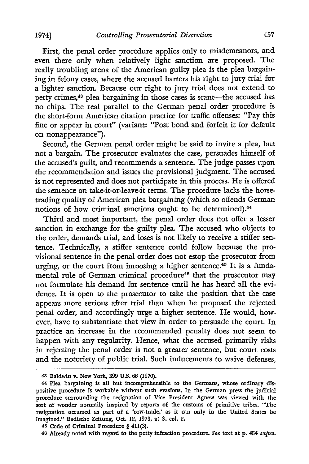First, the penal order procedure applies only to misdemeanors, and even there only when relatively light sanction are proposed. The really troubling arena of the American guilty plea is the plea bargaining in felony cases, where the accused barters his right to jury trial for a lighter sanction. Because our right to jury trial does not extend to petty crimes,<sup>43</sup> plea bargaining in those cases is scant-the accused has no chips. The real parallel to the German penal order procedure is the short-form American citation practice for traffic offenses: "Pay this fine or appear in court" (variant: "Post bond and forfeit it for default on nonappearance").

Second, the German penal order might be said to invite a plea, but not a bargain. The prosecutor evaluates the case, persuades himself of the accused's guilt, and recommends a sentence. The judge passes upon the recommendation and issues the provisional judgment. The accused is not represented and does not participate in this process. He is offered the sentence on take-it-or-leave-it terms. The procedure lacks the horsetrading quality of American plea bargaining (which so offends German notions of how criminal sanctions ought to be determined).<sup>44</sup>

Third and most important, the penal order does not offer a lesser sanction in exchange for the guilty plea. The accused who objects to the order, demands trial, and loses is not likely to receive a stiffer sentence. Technically, a stiffer sentence could follow because the provisional sentence in the penal order does not estop the prosecutor from urging, or the court from imposing a higher sentence.45 It is a fundamental rule of German criminal procedure46 that the prosecutor may not formulate his demand for sentence until he has heard all the evidence. It is open to the prosecutor to take the position that the case appears more serious after trial than when he proposed the rejected penal order, and accordingly urge a higher sentence. He would, however, have to substantiate that view in order to persuade the court. In practice an increase in the recommended penalty does not seem to happen with any regularity. Hence, what the accused primarily risks in rejecting the penal order is not a greater sentence, but court costs and the notoriety of public trial. Such inducements to waive defenses,

1974]

**<sup>43</sup>** Baldwin v. New York, 899 **U.S.** 66 (1970).

**<sup>44</sup>** Plea bargaining is all but incomprehensible to the Germans, whose ordinary dispositive procedure is workable without such evasions. In the German press the judicial procedure surrounding the resignation of Vice President Agnew was viewed with the sort of wonder normally inspired by reports of the customs of primitive tribes. "The resignation occurred as part of a 'cow-trade,' as it can only in the United States be imagined." Badische Zeitung, Oct. 12, 1973, at 8, col. 2.

<sup>45</sup> Code of Criminal Procedure § 411(8).

**<sup>46</sup>** Already noted with regard to the petty infraction procedure. See text at **p.** *454 supra.*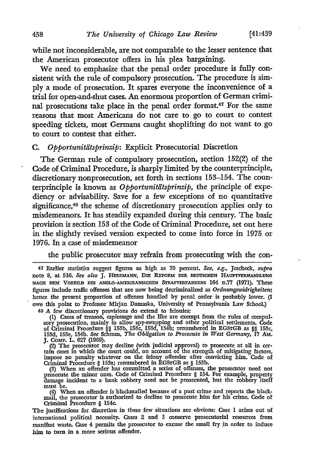[41:439

while not inconsiderable, are not comparable to the lesser sentence that the American prosecutor offers in his plea bargaining.

We need to emphasize that the penal order procedure is fully consistent with the rule of compulsory prosecution. The procedure is simply a mode of prosecution. It spares everyone the inconvenience of a trial for open-and-shut cases. An enormous proportion of German criminal prosecutions take place in the penal order format.<sup>47</sup> For the same reasons that most Americans do not care to go to court to contest speeding tickets, most Germans caught shoplifting do not want to go to court to contest that either.

## C. *Opportunitiitsprinzip:* Explicit Prosecutorial Discretion

The German rule of compulsory prosecution, section 152(2) of the Code of Criminal Procedure, is sharply limited by the counterprinciple, discretionary nonprosecution, set forth in sections 153-154. The counterprinciple is known as *Opportunitdtsprinzip,* the principle of expediency or advisability. Save for a few exceptions of no quantitative significance, 48 the scheme of discretionary prosecution applies only to misdemeanors. It has steadily expanded during this century. The basic provision is section **153** of the Code of Criminal Procedure, set out here in the slightly revised version expected to come into force in 1975 or 1976. In a case of misdemeanor

the public prosecutor may refrain from prosecuting with the con-

J. COMP. L. 627 (1969).<br>
(2) The prosecutor may decline (with judicial approval) to prosecute at all in cer-<br>
tain cases in which the court could, on account of the strength of mitigating factors<br>
impose no penalty whateve

Criminal Procedure § 153a; renumbered in ÉGSTGB as § 153b.<br>(3) When an offender has committed a series of offenses, the prosecutor need not<br>prosecute the minor ones. Code of Criminal Procedure § 154. For example, property damage incident to a bank robbery need not be prosecuted, but the robbery itself must be.

(4) When an offender is blackmailed because of a past crime and reports the black-**mail,** the prosecutor is authorized to decline to prosecute him for his crime. Code of Criminal Procedure § 154c.

The justifications for discretion in these few situations are obvious: Case **1** arises out of international political necessity. Cases 2 and **3** conserve prosecutorial resources from manifest waste. Case 4 permits the prosecutor to excuse the small fry in order to induce him to turn in a more serious offender.

**<sup>47</sup>** Earlier statistics suggest figures as high as **70** percent. *See, e.g.,* Jescheck, *supra* note 8, at 516. See also J. HERRMANN, DIE REFORM DER DEUTSCHEN HAUPTVERHANDLUNG **NACH DESS VORBILD DES ANGLO-AMERIKANISCHEN STRAFVERFAHRENS** 164 n.77 **(1971).** These figures include traffic offenses that are now being decriminalized as *Ordnungswidrigkeiten;* hence the present proportion of offenses handled by penal order is probably lower. (I owe this point to Professor Mirjan Damaska, University of Pennsylvania Law School.)

**<sup>48</sup> A** few discretionary provisions do extend to felonies: **(1)** Cases of treason, espionage and the like are exempt from the rules of compulsory prosecution, mainly to allow spy-swapping and other political settlements. Code of Criminal Procedure §§ **153b,** 153c, **153d,** 154b; renumbered in **EGSTGB** as §§ 153c, **153d,** 153e, **154b.** *See* Schram, *The Obligation to Prosecute in West Germany,* **17** Am.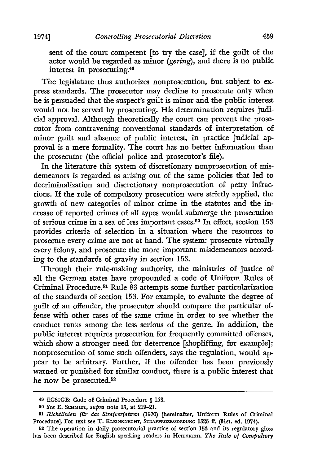sent of the court competent [to try the case], if the guilt of the actor would be regarded as minor *(gering),* and there is no public interest in prosecuting.<sup>49</sup>

The legislature thus authorizes nonprosecution, but subject to express standards. The prosecutor may decline to prosecute only when he is persuaded that the suspect's guilt is minor and the public interest would not be served by prosecuting. His determination requires judicial approval. Although theoretically the court can prevent the prosecutor from contravening conventional standards of interpretation of minor guilt and absence of public interest, in practice judicial approval is a mere formality. The court has no better information than the prosecutor (the official police and prosecutor's file).

In the literature this system of discretionary nonprosecution of misdemeanors is regarded as arising out of the same policies that led to decriminalization and discretionary nonprosecution of petty infractions. If the rule of compulsory prosecution were strictly applied, the growth of new categories of minor crime in the statutes and the increase of reported crimes of all types would submerge the prosecution of serious crime in a sea of less important cases. 50 In effect, section 153 provides criteria of selection in a situation where the resources to prosecute every crime are not at hand. The system: prosecute virtually every felony, and prosecute the more important misdemeanors according to the standards of gravity in section 153.

Through their rule-making authority, the ministries of justice of all the German states have propounded a code of Uniform Rules of Criminal Procedure.<sup>51</sup> Rule 83 attempts some further particularization of the standards of section 153. For example, to evaluate the degree of guilt of an offender, the prosecutor should compare the particular offense with other cases of the same crime in order to see whether the conduct ranks among the less serious of the genre. In addition, the public interest requires prosecution for frequently committed offenses, which show a stronger need for deterrence [shoplifting, for example]; nonprosecution of some such offenders, says the regulation, would appear to be arbitrary. Further, if the offender has been previously warned or punished for similar conduct, there is a public interest that he now be prosecuted.<sup>52</sup>

**<sup>49</sup> EGSTGB:** Code of Criminal Procedure § **153.**

*<sup>50</sup>See* **E. ScHMIDT,** *supra* note *15,* at 219-21.

*<sup>51</sup> Richtlinien flr das Strafverfahren* (1970) [hereinafter, Uniform Rules of Criminal Procedure]. For text see T. **KLEINKNECHT,** STRAPROZESSORDUNG **1525 ff.** (31st. ed. 1974).

**<sup>52</sup>** The operation in daily prosecutorial practice of section **153** and its regulatory gloss has been described for English speaking readers in Herrmann, *The Rule of Compulsory*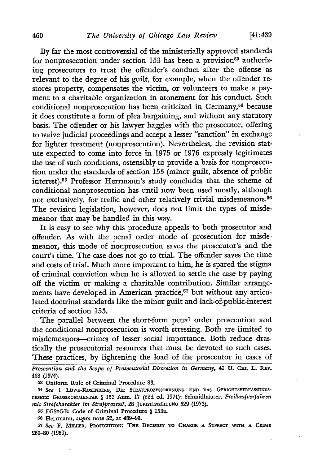[41:439

By far the most controversial of the ministerially approved standards for nonprosecution under section  $153$  has been a provision<sup>53</sup> authorizing prosecutors to treat the offender's conduct after the offense as relevant to the degree of his guilt, for example, when the offender restores property, compensates the victim, or volunteers to make a payment to a charitable organization in atonement for his conduct. Such conditional nonprosecution has been criticized in Germany,<sup>54</sup> because it does constitute a form of plea bargaining, and without any statutory basis. The offender or his lawyer haggles with the prosecutor, offering to waive judicial proceedings and accept a lesser "sanction" in exchange for lighter treatment (nonprosecution). Nevertheless, the revision statute expected to come into force in **1975** or 1976 expressly legitimates the use of such conditions, ostensibly to provide a basis for nonprosecution under the standards of section **153** (minor guilt, absence of public interest).<sup>55</sup> Professor Herrmann's study concludes that the scheme of conditional nonprosecution has until now been used mostly, although not exclusively, for traffic and other relatively trivial misdemeanors.<sup>56</sup> The revision legislation, however, does not limit the types of misdemeanor that may be handled in this way.

It is easy to see why this procedure appeals to both prosecutor and offender. As with the penal order mode of prosecution for misdemeanor, this mode of nonprosecution saves the prosecutor's and the court's time. The case does not go to trial. The offender saves the time and costs of trial. Much more important to him, he is spared the stigma of criminal conviction when he is allowed to settle the case by paying off the victim or making a charitable contribution. Similar arrangements have developed in American practice,<sup>57</sup> but without any articulated doctrinal standards like the minor guilt and lack-of-public-interest criteria of section 153.

The parallel between the short-form penal order prosecution and the conditional nonprosecution is worth stressing. Both are limited to misdemeanors--crimes of lesser social importance. Both reduce drastically the prosecutorial resources that must be devoted to such cases. These practices, by lightening the load of the prosecutor in cases of

Prosecution and the Scope of Prosecutorial Discretion in Germany, 41 U. CHI. L. REV. **468** (1974).

**<sup>53</sup> Uniform Rule** of **Criminal** Procedure **83.**

<sup>54</sup> See 1 LÖWE-ROSENBERG, DIE STRAFPROZESSORDNUNG UND DAS GERICHTSVERFASSUNGS-**GFsE~z: GROSSKOMMENTAR** § **153** Ann. **17** (22d ed. 1971); Schmidhiiuser, *Freikaufverfahren mit Strafcharakter im Strafprozess?,* 28 **JURISTENZEITUNG 529 (1973).**

**<sup>55</sup> EGSTGB:** Code **of** Criminal **Procedure** § 153a.

**<sup>56</sup>Herrmann,** *supra* note **52, at 489-93.**

*<sup>5</sup>T See* F. ML \_.ta, **PROSECUTION: THE DECISION TO CHARGE A SUSPECT WITH A CRImE 260-80 (1969).**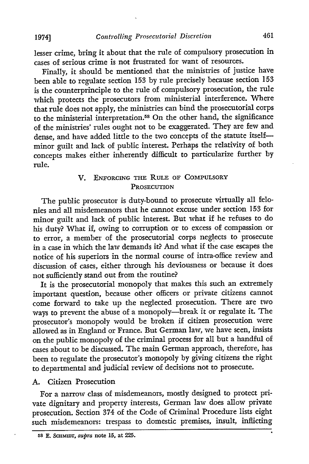lesser crime, bring it about that the rule of compulsory prosecution in cases of serious crime is not frustrated for want of resources.

Finally, it should be mentioned that the ministries of justice have been able to regulate section 153 by rule precisely because section 153 is the counterprinciple to the rule of compulsory prosecution, the rule which protects the prosecutors from ministerial interference. Where that rule does not apply, the ministries can bind the prosecutorial corps to the ministerial interpretation.<sup>58</sup> On the other hand, the significance of the ministries' rules ought not to be exaggerated. They are few and dense, and have added little to the two concepts of the statute itselfminor guilt and lack of public interest. Perhaps the relativity of both concepts makes either inherently difficult to particularize further by rule.

## V. ENFORCING **THE RULE** OF COMPULSORY **PROSECUTION**

The public prosecutor is duty-bound to prosecute virtually all felonies and all misdemeanors that he cannot excuse under section **153** for minor guilt and lack of public interest. But what if he refuses to do his duty? What if, owing to corruption or to excess of compassion or to error, a member of the prosecutorial corps neglects to prosecute in a case in which the law demands it? And what if the case escapes the notice of his superiors in the normal course of intra-office review and discussion of cases, either through his deviousness or because it does not sufficiently stand out from the routine?

It is the prosecutorial monopoly that makes this such an extremely important question, because other officers or private citizens cannot come forward to take up the neglected prosecution. There are two ways to prevent the abuse of a monopoly-break it or regulate it. The prosecutor's monopoly would be broken if citizen prosecution were allowed as in England or France. But German law, we have seen, insists on the public monopoly of the criminal process for all but a handful of cases about to be discussed. The main German approach, therefore, has been to regulate the prosecutor's monopoly **by** giving citizens the right to departmental and judicial review of decisions not to prosecute.

**A.** Citizen Prosecution

For a narrow class of misdemeanors, mostly designed to protect private dignitary and property interests, German law does allow private prosecution. Section 374 of the Code of Criminal Procedure lists eight such misdemeanors: trespass to domestic premises, insult, inflicting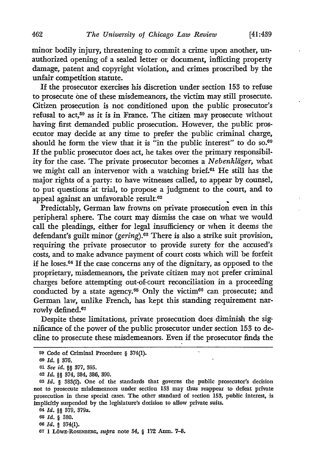minor bodily injury, threatening to commit a crime upon another, unauthorized opening of a sealed letter or document, infficting property damage, patent and copyright violation, and crimes proscribed by the

unfair competition statute. If the prosecutor exercises his discretion under section **153** to refuse to prosecute one of these misdemeanors, the victim may still prosecute. Citizen prosecution is not conditioned upon the public prosecutor's refusal to act,<sup>59</sup> as it is in France. The citizen may prosecute without having first demanded public prosecution. However, the public prosecutor may decide at any time to prefer the public criminal charge, should he form the view that it is "in the public interest" to do so.<sup>60</sup> If the public prosecutor does act, he takes over the primary responsibility for the case. The private prosecutor becomes a *Nebenkiager,* what we might call an intervenor with a watching brief.<sup>61</sup> He still has the major rights of a party: to have witnesses called, to appear by counsel, to put questions at trial, to propose a judgment to the court, and to appeal against an unfavorable result.<sup>62</sup>

Predictably, German law frowns on private prosecution even in this peripheral sphere. The court may dismiss the case on what we would call the pleadings, either for legal insufficiency or when it deems the defendant's guilt minor *(gering).3* There is also a strike suit provision, requiring the private prosecutor to provide surety for the accused's costs, and to make advance payment of court costs which will be forfeit if he loses. 4 If the case concerns any of the dignitary, as opposed to the proprietary, misdemeanors, the private citizen may not prefer criminal charges before attempting out-of-court reconciliation in a proceeding conducted by a state agency.<sup>65</sup> Only the victim<sup>66</sup> can prosecute; and German law, unlike French, has kept this standing requirement narrowly defined.<sup>67</sup>

Despite these limitations, private prosecution does diminish the significance of the power of the public prosecutor under section **153** to decline to prosecute these misdemeanors. Even if the prosecutor finds the

**<sup>64</sup>***Id. §§* **379,** 379a.

462

**<sup>59</sup>** Code of Criminal Procedure § 374(l).

**<sup>60</sup>***Id. §* **376.**

**<sup>61</sup>** *See id. §§* **377, 395.**

**<sup>62</sup>** *Id. §§* 374, 584, **586, 390.**

**<sup>63</sup>***Id. §* **383(2).** One of the standards that governs the public prosecutor's decision not to prosecute misdemeanors under section **153** may thus reappear to defeat private prosecution in these special cases. The other standard of section **153,** public interest, is implicitly suspended **by** the legislature's decision to allow private suits.

**<sup>65</sup>** *Id. §* **380.**

**<sup>66</sup>** *Id. §* 374(l).

**<sup>67 1</sup>** LwE-RosaENBaG, *supra* note 54, § **172 Anm. 7-8.**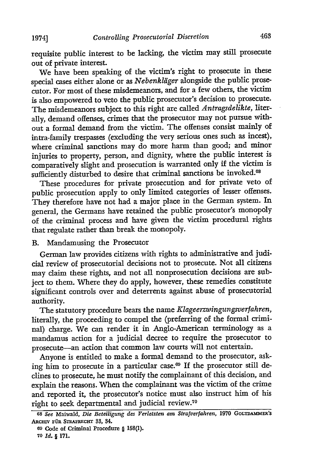requisite public interest to be lacking, the victim may still prosecute out of private interest.

We have been speaking of the victim's right to prosecute in these special cases either alone or as *Nebenkidger* alongside the public prosecutor. For most of these misdemeanors, and for a few others, the victim is also empowered to veto the public prosecutor's decision to prosecute. The misdemeanors subject to this right are called *Antragsdelikte,* literally, demand offenses, crimes that the prosecutor may not pursue without a formal demand from the victim. The offenses consist mainly of intra-family trespasses (excluding the very serious ones such as incest), where criminal sanctions may do more harm than good; and minor injuries to property, person, and dignity, where the public interest is comparatively slight and prosecution is warranted only if the victim is sufficiently disturbed to desire that criminal sanctions be invoked.<sup>68</sup>

These procedures for private prosecution and for private veto of public prosecution apply to only limited categories of lesser offenses. They therefore have not had a major place in the German system. In general, the Germans have retained the public prosecutor's monopoly of the criminal process and have given the victim procedural rights that regulate rather than break the monopoly.

B. Mandamusing the Prosecutor

German law provides citizens with rights to administrative and judicial review of prosecutorial decisions not to prosecute. Not all citizens may claim these rights, and not all nonprosecution decisions are subject to them. Where they do apply, however, these remedies constitute significant controls over and deterrents against abuse of prosecutorial authority.

The statutory procedure bears the name *Klageerzwingungsverfahren,* literally, the proceeding to compel the (preferring of the formal criminal) charge. We can render it in Anglo-American terminology as a mandamus action for a judicial decree to require the prosecutor to prosecute-an action that common law courts will not entertain.

Anyone is entitled to make a formal demand to the prosecutor, asking him to prosecute in a particular case.<sup>69</sup> If the prosecutor still declines to prosecute, he must notify the complainant of this decision, and explain the reasons. When the complainant was the victim of the crime and reported it, the prosecutor's notice must also instruct him of his right to seek departmental and judicial review.<sup>70</sup>

*<sup>68</sup>See* Maiwald, *Die Beteiligung des Verletzten am Strafverfahren,* 1970 **GOLTDAmmER'S** ARCHIV **FUR** STmRARrcHr **33,** 34.

**<sup>69</sup>**Code of Criminal Procedure § 158(1).

**<sup>70</sup>** *Id. §* **171.**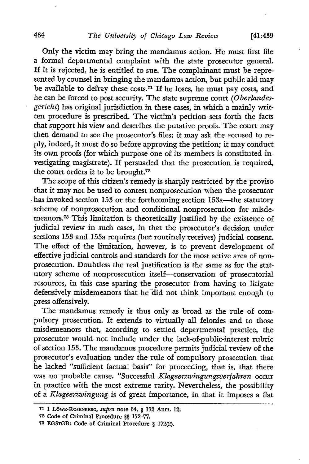Only the victim may bring the mandamus action. He must first file a formal departmental complaint with the state prosecutor general. If it is rejected, he is entitled to sue. The complainant must be represented by counsel in bringing the mandamus action, but public aid may be available to defray these costs.<sup>71</sup> If he loses, he must pay costs, and he can be forced to post security. The state supreme court *(Oberlandesgericht)* has original jurisdiction in these cases, in which a mainly written procedure is prescribed. The victim's petition sets forth the facts that support his view and describes the putative proofs. The court may then demand to see the prosecutor's files; it may ask the accused to reply, indeed, it must do so before approving the petition; it may conduct its own proofs (for which purpose one of its members is constituted investigating magistrate). If persuaded that the prosecution is required, the court orders it to be brought.<sup>72</sup>

The scope of this citizen's remedy is sharply restricted by the proviso that it may not be used to contest nonprosecution when the prosecutor has invoked section 153 or the forthcoming section 153a-the statutory scheme of nonprosecution and conditional nonprosecution for misdemeanors. 73 This limitation is theoretically justified by the existence of judicial review in such cases, in that the prosecutor's decision under sections **153** and 153a requires (but routinely receives) judicial consent. The effect of the limitation, however, is to prevent development of effective judicial controls and standards for the most active area of nonprosecution. Doubtless the real justification is the same as for the statutory scheme of nonprosecution itself--conservation of prosecutorial resources, in this case sparing the prosecutor from having to litigate defensively misdemeanors that he<sup>-did</sup> not think important enough to press offensively.

The mandamus remedy is thus only as broad as the rule of compulsory prosecution. It extends to virtually all felonies and to those misdemeanors that, according to settled departmental practice, the prosecutor would not include under the lack-of-public-interest rubric of section 153. The mandamus procedure permits judicial review of the prosecutor's evaluation under the rule of compulsory prosecution that he lacked "sufficient factual basis" for proceeding, that is, that there was no probable cause. "Successful *Klageerzwingungsverfahren* occur in practice with the most extreme rarity. Nevertheless, the possibility of a *Klageerzwingung* is of great importance, in that it imposes a flat

**<sup>71 1</sup> L6WE-ROSENBERG,** *supra* **note** 54, § **172 Anna. 12.**

**<sup>72</sup> Code of Criminal Procedure** §§ **172-77.**

**<sup>73</sup> EGSTGB: Code of** Criminal **Procedure** § **172(2).**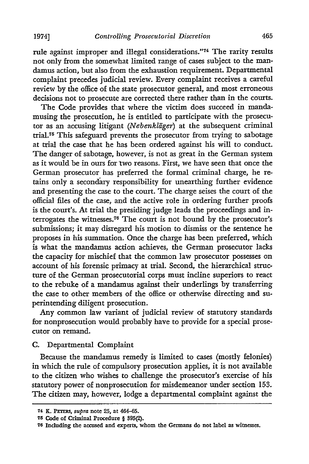rule against improper and illegal considerations."<sup>74</sup> The rarity results not only from the somewhat limited range of cases subject to the mandamus action, but also from the exhaustion requirement. Departmental complaint precedes judicial review. Every complaint receives a careful review by the office of the state prosecutor general, and most erroneous decisions not to prosecute are corrected there rather than in the courts.

The Code provides that where the victim does succeed in mandamusing the prosecution, he is entitled to participate with the prosecutor as an accusing litigant *(Nebenkidger)* at the subsequent criminal trial.<sup>75</sup> This safeguard prevents the prosecutor from trying to sabotage at trial the case that he has been ordered against his will to conduct. The danger of sabotage, however, is not as great in the German system as it would be in ours for two reasons. First, we have seen that once the German prosecutor has preferred the formal criminal charge, he retains only a secondary responsibility for unearthing further evidence and presenting the case to the court. The charge seises the court of the official files of the case, and the active role in ordering further proofs is the court's. At trial the presiding judge leads the proceedings and interrogates the witnesses.76 The court is not bound by the prosecutor's submissions; it may disregard his motion to dismiss or the sentence he proposes in his summation. Once the charge has been preferred, which is what the mandamus action achieves, the German prosecutor lacks the capacity for mischief that the common law prosecutor possesses on account of his forensic primacy at trial. Second, the hierarchical structure of the German prosecutorial corps must incline superiors to react to the rebuke of a mandamus against their underlings by transferring the case to other members of the office or otherwise directing and superintending diligent prosecution.

Any common law variant of judicial review of statutory standards for nonprosecution would probably have to provide for a special prosecutor on remand.

## C. Departmental Complaint

Because the mandamus remedy is limited to cases (mostly felonies) in which the rule of compulsory prosecution applies, it is not available to the citizen who wishes to challenge the prosecutor's exercise of his statutory power of nonprosecution for misdemeanor under section 153. The citizen may, however, lodge a departmental complaint against the

<sup>74</sup> K. **PE=ERs,** supra note *25,* at 464-65.

**<sup>75</sup>** Code of Criminal Procedure § 395(2).

**<sup>76</sup>** Including the accused and experts, whom the Germans do not label as witnesses.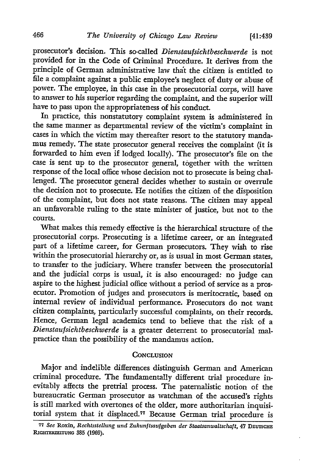prosecutor's decision. This so-called *Dienstaufsichtbeschwerde* is not provided for in the Code of Criminal Procedure. It derives from the principle of German administrative law that the citizen is entitled to file a complaint against a public employee's neglect of duty or abuse of power. The employee, in this case in the prosecutorial corps, will have to answer to his superior regarding the complaint, and the superior will have to pass upon the appropriateness of his conduct.

In practice, this nonstatutory complaint system is administered in the same manner as departmental review of the victim's complaint in cases in which the victim may thereafter resort to the statutory mandamus remedy. The state prosecutor general receives the complaint (it is forwarded to him even if lodged locally). The prosecutor's file on the case is sent up to the prosecutor general, together with the written response of the local office whose decision not to prosecute is being challenged. The prosecutor general decides whether to sustain or overrule the decision not to prosecute. He notifies the citizen of the disposition of the complaint, but does not state reasons. The citizen may appeal an unfavorable ruling to the state minister of justice, but not to the courts.

What makes this remedy effective is the hierarchical structure of the prosecutorial corps. Prosecuting is a lifetime career, or an integrated part of a lifetime career, for German prosecutors. They wish to rise within the prosecutorial hierarchy or, as is usual in most German states, to transfer to the judiciary. Where transfer between the prosecutorial and the judicial corps is usual, it is also encouraged: no judge can aspire to the highest judicial office without a period of service as a prosecutor. Promotion of judges and prosecutors is meritocratic, based on internal review of individual performance. Prosecutors do not want citizen complaints, particularly successful complaints, on their records. Hence, German legal academics tend to believe that the risk of a *Dienstaufsichtbeschwerde* is a greater deterrent to prosecutorial malpractice than the possibility of the mandamus action.

#### **CONCLUSION**

Major and indelible differences distinguish German and American criminal procedure. The fundamentally different trial procedure inevitably affects the pretrial process. The paternalistic notion of the bureaucratic German prosecutor as watchman of the accused's rights is still marked with overtones of the older, more authoritarian inquisitorial system that it displaced.77 Because German trial procedure is

**<sup>77</sup>***See* **Roxin,** *Rechtsstellung und Zukunftsaufgaben der Staatsanwaltschaft, 47* **DEuTscHE RIGHTERZEITUNG 385 (1969).**